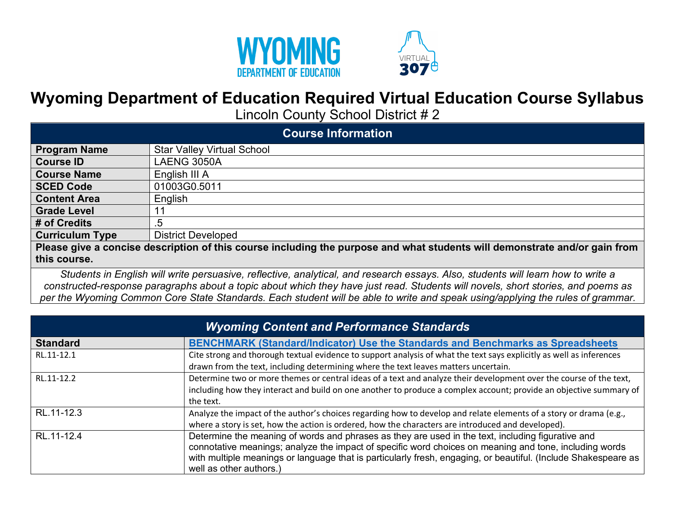



## **Wyoming Department of Education Required Virtual Education Course Syllabus**

Lincoln County School District # 2

| <b>Course Information</b>                                                                                                  |                                   |  |
|----------------------------------------------------------------------------------------------------------------------------|-----------------------------------|--|
| <b>Program Name</b>                                                                                                        | <b>Star Valley Virtual School</b> |  |
| <b>Course ID</b>                                                                                                           | LAENG 3050A                       |  |
| <b>Course Name</b>                                                                                                         | English III A                     |  |
| <b>SCED Code</b>                                                                                                           | 01003G0.5011                      |  |
| <b>Content Area</b>                                                                                                        | English                           |  |
| <b>Grade Level</b>                                                                                                         |                                   |  |
| # of Credits                                                                                                               | .5                                |  |
| <b>Curriculum Type</b>                                                                                                     | <b>District Developed</b>         |  |
| Please give a concise description of this course including the purpose and what students will demonstrate and/or gain from |                                   |  |
| this course.                                                                                                               |                                   |  |

 *Students in English will write persuasive, reflective, analytical, and research essays. Also, students will learn how to write a constructed-response paragraphs about a topic about which they have just read. Students will novels, short stories, and poems as*  per the Wyoming Common Core State Standards. Each student will be able to write and speak using/applying the rules of grammar.

| <b>Wyoming Content and Performance Standards</b> |                                                                                                                                                                                                                                                                                                                                                          |  |
|--------------------------------------------------|----------------------------------------------------------------------------------------------------------------------------------------------------------------------------------------------------------------------------------------------------------------------------------------------------------------------------------------------------------|--|
| <b>Standard</b>                                  | BENCHMARK (Standard/Indicator) Use the Standards and Benchmarks as Spreadsheets                                                                                                                                                                                                                                                                          |  |
| RL.11-12.1                                       | Cite strong and thorough textual evidence to support analysis of what the text says explicitly as well as inferences<br>drawn from the text, including determining where the text leaves matters uncertain.                                                                                                                                              |  |
| RL.11-12.2                                       | Determine two or more themes or central ideas of a text and analyze their development over the course of the text,<br>including how they interact and build on one another to produce a complex account; provide an objective summary of<br>the text.                                                                                                    |  |
| RL.11-12.3                                       | Analyze the impact of the author's choices regarding how to develop and relate elements of a story or drama (e.g.,<br>where a story is set, how the action is ordered, how the characters are introduced and developed).                                                                                                                                 |  |
| RL.11-12.4                                       | Determine the meaning of words and phrases as they are used in the text, including figurative and<br>connotative meanings; analyze the impact of specific word choices on meaning and tone, including words<br>with multiple meanings or language that is particularly fresh, engaging, or beautiful. (Include Shakespeare as<br>well as other authors.) |  |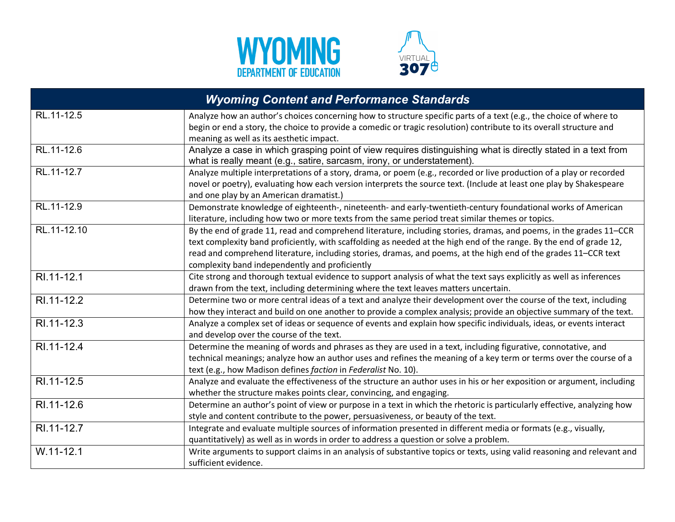



| <b>Wyoming Content and Performance Standards</b> |                                                                                                                         |  |
|--------------------------------------------------|-------------------------------------------------------------------------------------------------------------------------|--|
| RL.11-12.5                                       | Analyze how an author's choices concerning how to structure specific parts of a text (e.g., the choice of where to      |  |
|                                                  | begin or end a story, the choice to provide a comedic or tragic resolution) contribute to its overall structure and     |  |
|                                                  | meaning as well as its aesthetic impact.                                                                                |  |
| RL.11-12.6                                       | Analyze a case in which grasping point of view requires distinguishing what is directly stated in a text from           |  |
|                                                  | what is really meant (e.g., satire, sarcasm, irony, or understatement).                                                 |  |
| RL.11-12.7                                       | Analyze multiple interpretations of a story, drama, or poem (e.g., recorded or live production of a play or recorded    |  |
|                                                  | novel or poetry), evaluating how each version interprets the source text. (Include at least one play by Shakespeare     |  |
|                                                  | and one play by an American dramatist.)                                                                                 |  |
| RL.11-12.9                                       | Demonstrate knowledge of eighteenth-, nineteenth- and early-twentieth-century foundational works of American            |  |
|                                                  | literature, including how two or more texts from the same period treat similar themes or topics.                        |  |
| RL.11-12.10                                      | By the end of grade 11, read and comprehend literature, including stories, dramas, and poems, in the grades 11–CCR      |  |
|                                                  | text complexity band proficiently, with scaffolding as needed at the high end of the range. By the end of grade 12,     |  |
|                                                  | read and comprehend literature, including stories, dramas, and poems, at the high end of the grades 11-CCR text         |  |
|                                                  | complexity band independently and proficiently                                                                          |  |
| RI.11-12.1                                       | Cite strong and thorough textual evidence to support analysis of what the text says explicitly as well as inferences    |  |
|                                                  | drawn from the text, including determining where the text leaves matters uncertain.                                     |  |
| RI.11-12.2                                       | Determine two or more central ideas of a text and analyze their development over the course of the text, including      |  |
|                                                  | how they interact and build on one another to provide a complex analysis; provide an objective summary of the text.     |  |
| RI.11-12.3                                       | Analyze a complex set of ideas or sequence of events and explain how specific individuals, ideas, or events interact    |  |
|                                                  | and develop over the course of the text.                                                                                |  |
| RI.11-12.4                                       | Determine the meaning of words and phrases as they are used in a text, including figurative, connotative, and           |  |
|                                                  | technical meanings; analyze how an author uses and refines the meaning of a key term or terms over the course of a      |  |
|                                                  | text (e.g., how Madison defines faction in Federalist No. 10).                                                          |  |
| RI.11-12.5                                       | Analyze and evaluate the effectiveness of the structure an author uses in his or her exposition or argument, including  |  |
|                                                  | whether the structure makes points clear, convincing, and engaging.                                                     |  |
| RI.11-12.6                                       | Determine an author's point of view or purpose in a text in which the rhetoric is particularly effective, analyzing how |  |
|                                                  | style and content contribute to the power, persuasiveness, or beauty of the text.                                       |  |
| RI.11-12.7                                       | Integrate and evaluate multiple sources of information presented in different media or formats (e.g., visually,         |  |
|                                                  | quantitatively) as well as in words in order to address a question or solve a problem.                                  |  |
| $W.11 - 12.1$                                    | Write arguments to support claims in an analysis of substantive topics or texts, using valid reasoning and relevant and |  |
|                                                  | sufficient evidence.                                                                                                    |  |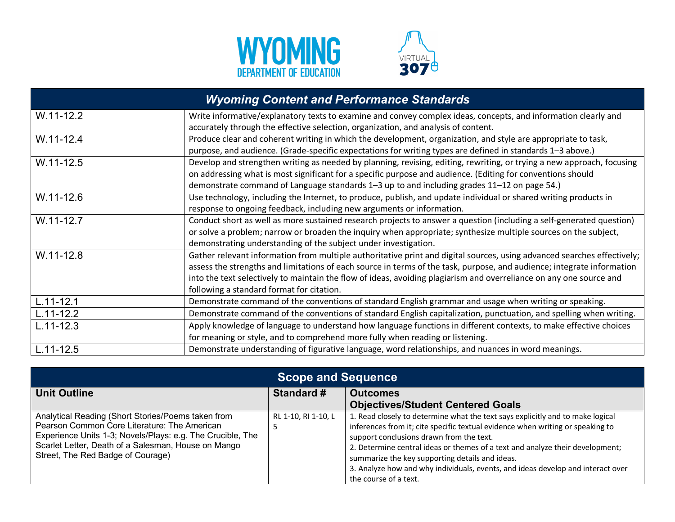



| <b>Wyoming Content and Performance Standards</b> |                                                                                                                         |  |
|--------------------------------------------------|-------------------------------------------------------------------------------------------------------------------------|--|
| $W.11-12.2$                                      | Write informative/explanatory texts to examine and convey complex ideas, concepts, and information clearly and          |  |
|                                                  | accurately through the effective selection, organization, and analysis of content.                                      |  |
| $W.11 - 12.4$                                    | Produce clear and coherent writing in which the development, organization, and style are appropriate to task,           |  |
|                                                  | purpose, and audience. (Grade-specific expectations for writing types are defined in standards 1-3 above.)              |  |
| $W.11 - 12.5$                                    | Develop and strengthen writing as needed by planning, revising, editing, rewriting, or trying a new approach, focusing  |  |
|                                                  | on addressing what is most significant for a specific purpose and audience. (Editing for conventions should             |  |
|                                                  | demonstrate command of Language standards 1-3 up to and including grades 11-12 on page 54.)                             |  |
| $W.11 - 12.6$                                    | Use technology, including the Internet, to produce, publish, and update individual or shared writing products in        |  |
|                                                  | response to ongoing feedback, including new arguments or information.                                                   |  |
| W.11-12.7                                        | Conduct short as well as more sustained research projects to answer a question (including a self-generated question)    |  |
|                                                  | or solve a problem; narrow or broaden the inquiry when appropriate; synthesize multiple sources on the subject,         |  |
|                                                  | demonstrating understanding of the subject under investigation.                                                         |  |
| $W.11 - 12.8$                                    | Gather relevant information from multiple authoritative print and digital sources, using advanced searches effectively; |  |
|                                                  | assess the strengths and limitations of each source in terms of the task, purpose, and audience; integrate information  |  |
|                                                  | into the text selectively to maintain the flow of ideas, avoiding plagiarism and overreliance on any one source and     |  |
|                                                  | following a standard format for citation.                                                                               |  |
| $L.11 - 12.1$                                    | Demonstrate command of the conventions of standard English grammar and usage when writing or speaking.                  |  |
| $L.11 - 12.2$                                    | Demonstrate command of the conventions of standard English capitalization, punctuation, and spelling when writing.      |  |
| $L.11 - 12.3$                                    | Apply knowledge of language to understand how language functions in different contexts, to make effective choices       |  |
|                                                  | for meaning or style, and to comprehend more fully when reading or listening.                                           |  |
| $L.11 - 12.5$                                    | Demonstrate understanding of figurative language, word relationships, and nuances in word meanings.                     |  |

| <b>Scope and Sequence</b>                                                                                                                                                                                                                                    |                     |                                                                                                                                                                                                                                                                                                                                                                                                                                                              |  |  |
|--------------------------------------------------------------------------------------------------------------------------------------------------------------------------------------------------------------------------------------------------------------|---------------------|--------------------------------------------------------------------------------------------------------------------------------------------------------------------------------------------------------------------------------------------------------------------------------------------------------------------------------------------------------------------------------------------------------------------------------------------------------------|--|--|
| <b>Unit Outline</b>                                                                                                                                                                                                                                          | <b>Standard #</b>   | <b>Outcomes</b><br><b>Objectives/Student Centered Goals</b>                                                                                                                                                                                                                                                                                                                                                                                                  |  |  |
| Analytical Reading (Short Stories/Poems taken from<br>Pearson Common Core Literature: The American<br>Experience Units 1-3; Novels/Plays: e.g. The Crucible, The<br>Scarlet Letter, Death of a Salesman, House on Mango<br>Street, The Red Badge of Courage) | RL 1-10, RI 1-10, L | 1. Read closely to determine what the text says explicitly and to make logical<br>inferences from it; cite specific textual evidence when writing or speaking to<br>support conclusions drawn from the text.<br>2. Determine central ideas or themes of a text and analyze their development;<br>summarize the key supporting details and ideas.<br>3. Analyze how and why individuals, events, and ideas develop and interact over<br>the course of a text. |  |  |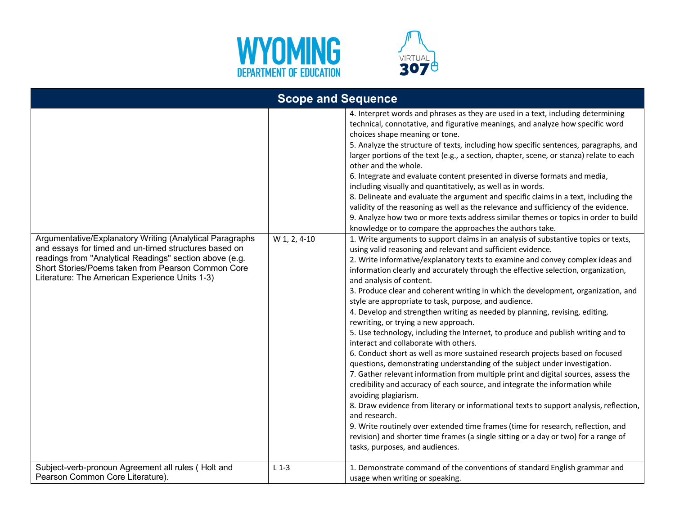



| <b>Scope and Sequence</b>                                                                                                                                                                                                                                                            |              |                                                                                                                                                                                                                                                                                                                                                                                                                                                                                                                                                                                                                                                                                                                                                                                                                                                                                                                                                                                                                                                                                                                                                                                                                                                                                                                                                                                                                                               |  |  |
|--------------------------------------------------------------------------------------------------------------------------------------------------------------------------------------------------------------------------------------------------------------------------------------|--------------|-----------------------------------------------------------------------------------------------------------------------------------------------------------------------------------------------------------------------------------------------------------------------------------------------------------------------------------------------------------------------------------------------------------------------------------------------------------------------------------------------------------------------------------------------------------------------------------------------------------------------------------------------------------------------------------------------------------------------------------------------------------------------------------------------------------------------------------------------------------------------------------------------------------------------------------------------------------------------------------------------------------------------------------------------------------------------------------------------------------------------------------------------------------------------------------------------------------------------------------------------------------------------------------------------------------------------------------------------------------------------------------------------------------------------------------------------|--|--|
|                                                                                                                                                                                                                                                                                      |              | 4. Interpret words and phrases as they are used in a text, including determining<br>technical, connotative, and figurative meanings, and analyze how specific word<br>choices shape meaning or tone.<br>5. Analyze the structure of texts, including how specific sentences, paragraphs, and<br>larger portions of the text (e.g., a section, chapter, scene, or stanza) relate to each<br>other and the whole.<br>6. Integrate and evaluate content presented in diverse formats and media,<br>including visually and quantitatively, as well as in words.<br>8. Delineate and evaluate the argument and specific claims in a text, including the<br>validity of the reasoning as well as the relevance and sufficiency of the evidence.<br>9. Analyze how two or more texts address similar themes or topics in order to build<br>knowledge or to compare the approaches the authors take.                                                                                                                                                                                                                                                                                                                                                                                                                                                                                                                                                  |  |  |
| Argumentative/Explanatory Writing (Analytical Paragraphs<br>and essays for timed and un-timed structures based on<br>readings from "Analytical Readings" section above (e.g.<br>Short Stories/Poems taken from Pearson Common Core<br>Literature: The American Experience Units 1-3) | W 1, 2, 4-10 | 1. Write arguments to support claims in an analysis of substantive topics or texts,<br>using valid reasoning and relevant and sufficient evidence.<br>2. Write informative/explanatory texts to examine and convey complex ideas and<br>information clearly and accurately through the effective selection, organization,<br>and analysis of content.<br>3. Produce clear and coherent writing in which the development, organization, and<br>style are appropriate to task, purpose, and audience.<br>4. Develop and strengthen writing as needed by planning, revising, editing,<br>rewriting, or trying a new approach.<br>5. Use technology, including the Internet, to produce and publish writing and to<br>interact and collaborate with others.<br>6. Conduct short as well as more sustained research projects based on focused<br>questions, demonstrating understanding of the subject under investigation.<br>7. Gather relevant information from multiple print and digital sources, assess the<br>credibility and accuracy of each source, and integrate the information while<br>avoiding plagiarism.<br>8. Draw evidence from literary or informational texts to support analysis, reflection,<br>and research.<br>9. Write routinely over extended time frames (time for research, reflection, and<br>revision) and shorter time frames (a single sitting or a day or two) for a range of<br>tasks, purposes, and audiences. |  |  |
| Subject-verb-pronoun Agreement all rules (Holt and<br>Pearson Common Core Literature).                                                                                                                                                                                               | $L_1 - 3$    | 1. Demonstrate command of the conventions of standard English grammar and<br>usage when writing or speaking.                                                                                                                                                                                                                                                                                                                                                                                                                                                                                                                                                                                                                                                                                                                                                                                                                                                                                                                                                                                                                                                                                                                                                                                                                                                                                                                                  |  |  |